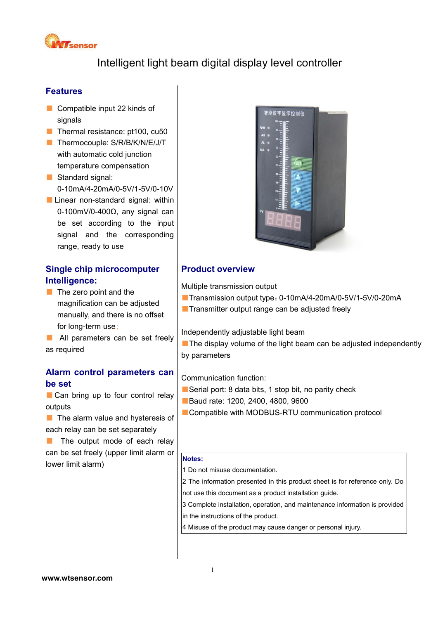

Intelligent light beam digital display level controller

## **Features**

- Compatible input 22 kinds of signals
- Thermal resistance: pt100, cu50
- Thermocouple: S/R/B/K/N/E/J/T with automatic cold junction temperature compensation
- Standard signal: 0-10mA/4-20mA/0-5V/1-5V/0-10V
- Linear non-standard signal: within 0-100mV/0-400Ω, any signal can be set according to the input signal and the corresponding range, ready to use

# **Single chip microcomputer Intelligence:**

- The zero point and the magnification can be adjusted manually, and there is no offset for long-term use;
- All parameters can be set freely as required

### **Alarm control parameters can be set**

■ Can bring up to four control relay outputs

■ The alarm value and hysteresis of each relay can be set separately

■ The output mode of each relay can be set freely (upper limit alarm or lower limit alarm)



### **Product overview**

Multiple transmission output

- ■Transmission output type: 0-10mA/4-20mA/0-5V/1-5V/0-20mA
- Transmitter output range can be adjusted freely

Independently adjustable light beam

■ The display volume of the light beam can be adjusted independently by parameters

#### Communication function:

- Serial port: 8 data bits, 1 stop bit, no parity check
- Baud rate: 1200, 2400, 4800, 9600
- Compatible with MODBUS-RTU communication protocol

#### **Notes:**

1 Do not misuse documentation.

2 The information presented in this product sheet is for reference only. Do not use this document as a product installation guide.

 $3$  Complete installation, operation, and maintenance information is provided  $\left|$ in the instructions of the product.

4 Misuse of the product may cause danger or personal injury.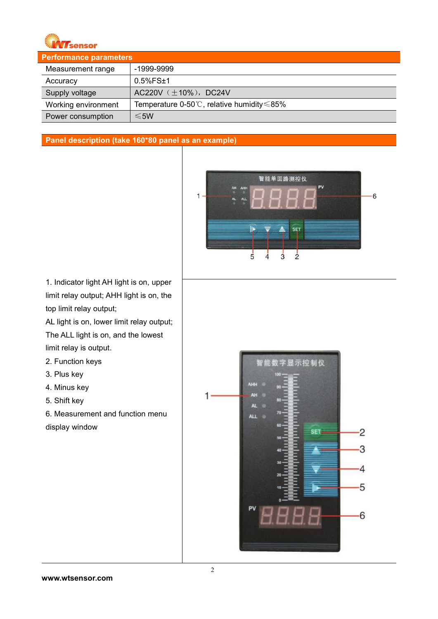

| <b>Performance parameters</b> |                                                            |
|-------------------------------|------------------------------------------------------------|
| Measurement range             | -1999-9999                                                 |
| Accuracy                      | $0.5%$ FS $±1$                                             |
| Supply voltage                | AC220V $(\pm 10\%)$ , DC24V                                |
| Working environment           | Temperature 0-50 $\degree$ C, relative humidity $\leq$ 85% |
| Power consumption             | $\leq$ 5W                                                  |

### **Panel description (take 160\*80 panel as an example)**



1. Indicator light AH light is on, upper limit relay output; AHH light is on, the top limit relay output;

AL light is on, lower limit relay output; The ALL light is on, and the lowest limit relay is output.

- 2. Function keys
- 3. Plus key
- 4. Minus key
- 5. Shift key

6. Measurement and function menu display window

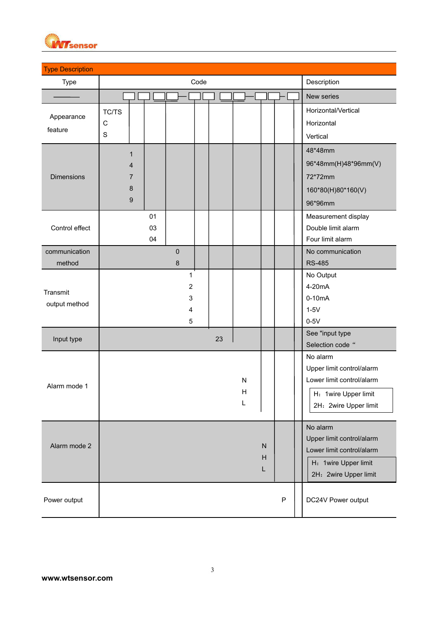

| Type              |       |                |    |                | Code |    |           |    |             | Description               |
|-------------------|-------|----------------|----|----------------|------|----|-----------|----|-------------|---------------------------|
|                   |       |                |    |                |      |    |           |    |             | New series                |
| Appearance        | TC/TS |                |    |                |      |    |           |    |             | Horizontal/Vertical       |
| feature           | С     |                |    |                |      |    |           |    |             | Horizontal                |
|                   | S     |                |    |                |      |    |           |    |             | Vertical                  |
|                   |       | 1              |    |                |      |    |           |    |             | 48*48mm                   |
|                   |       | 4              |    |                |      |    |           |    |             | 96*48mm(H)48*96mm(V)      |
| <b>Dimensions</b> |       | $\overline{7}$ |    |                |      |    |           |    |             | 72*72mm                   |
|                   |       | $\bf 8$        |    |                |      |    |           |    |             | 160*80(H)80*160(V)        |
|                   |       | $9\,$          |    |                |      |    |           |    |             | 96*96mm                   |
|                   |       |                | 01 |                |      |    |           |    |             | Measurement display       |
| Control effect    |       |                | 03 |                |      |    |           |    |             | Double limit alarm        |
|                   |       |                | 04 |                |      |    |           |    |             | Four limit alarm          |
| communication     |       |                |    | $\pmb{0}$      |      |    |           |    |             | No communication          |
| method            |       |                |    | $\bf 8$        |      |    |           |    |             | <b>RS-485</b>             |
|                   |       |                |    | $\mathbf{1}$   |      |    |           |    |             | No Output                 |
| Transmit          |       |                |    | $\overline{2}$ |      |    |           |    |             | 4-20mA                    |
| output method     |       |                |    | 3<br>4         |      |    |           |    |             | $0-10mA$<br>$1-5V$        |
|                   |       |                |    | $\sqrt{5}$     |      |    |           |    |             | $0-5V$                    |
|                   |       |                |    |                |      |    |           |    |             | See "input type           |
| Input type        |       |                |    |                |      | 23 |           |    |             | Selection code "          |
|                   |       |                |    |                |      |    |           |    |             | No alarm                  |
|                   |       |                |    |                |      |    |           |    |             | Upper limit control/alarm |
| Alarm mode 1      |       |                |    |                |      |    | ${\sf N}$ |    |             | Lower limit control/alarm |
|                   |       |                |    |                |      |    | H         |    |             | H: 1wire Upper limit      |
|                   |       |                |    |                |      |    | L         |    |             | 2H: 2wire Upper limit     |
|                   |       |                |    |                |      |    |           |    |             | No alarm                  |
|                   |       |                |    |                |      |    |           |    |             | Upper limit control/alarm |
| Alarm mode 2      |       |                |    |                |      |    |           | N  |             | Lower limit control/alarm |
|                   |       |                |    |                |      |    |           | Н  |             | H: 1wire Upper limit      |
|                   |       |                |    |                |      |    |           | L. |             | 2H: 2wire Upper limit     |
| Power output      |       |                |    |                |      |    |           |    |             |                           |
|                   |       |                |    |                |      |    |           |    | $\mathsf P$ | DC24V Power output        |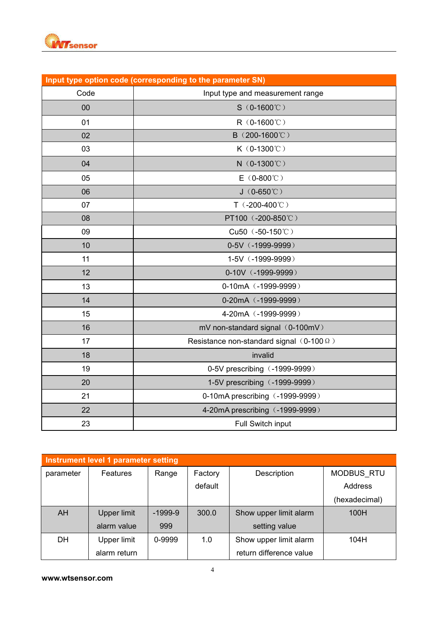

|        | Input type option code (corresponding to the parameter SN) |
|--------|------------------------------------------------------------|
| Code   | Input type and measurement range                           |
| $00\,$ | $S(0-1600^{\circ}\text{C})$                                |
| 01     | R (0-1600℃)                                                |
| 02     | B (200-1600°C)                                             |
| 03     | $K$ (0-1300°C)                                             |
| 04     | $N$ (0-1300°C)                                             |
| 05     | $E(0-800^{\circ}\text{C})$                                 |
| 06     | $J(0-650^{\circ}\mathrm{C})$                               |
| 07     | $T(.200-400^{\circ}C)$                                     |
| 08     | PT100 (-200-850℃)                                          |
| 09     | Cu50 (-50-150°C)                                           |
| 10     | 0-5V (-1999-9999)                                          |
| 11     | 1-5V (-1999-9999)                                          |
| 12     | 0-10V (-1999-9999)                                         |
| 13     | 0-10mA (-1999-9999)                                        |
| 14     | 0-20mA (-1999-9999)                                        |
| 15     | 4-20mA (-1999-9999)                                        |
| 16     | mV non-standard signal (0-100mV)                           |
| 17     | Resistance non-standard signal $(0-100 \Omega)$            |
| 18     | invalid                                                    |
| 19     | 0-5V prescribing (-1999-9999)                              |
| 20     | 1-5V prescribing (-1999-9999)                              |
| 21     | 0-10mA prescribing (-1999-9999)                            |
| 22     | 4-20mA prescribing (-1999-9999)                            |
| 23     | Full Switch input                                          |

|           | Instrument level 1 parameter setting |           |         |                         |               |  |  |
|-----------|--------------------------------------|-----------|---------|-------------------------|---------------|--|--|
| parameter | Features                             | Range     | Factory | Description             | MODBUS RTU    |  |  |
|           |                                      |           | default |                         | Address       |  |  |
|           |                                      |           |         |                         | (hexadecimal) |  |  |
| <b>AH</b> | <b>Upper limit</b>                   | $-1999-9$ | 300.0   | Show upper limit alarm  | 100H          |  |  |
|           | alarm value                          | 999       |         | setting value           |               |  |  |
| DH        | Upper limit                          | 0-9999    | 1.0     | Show upper limit alarm  | 104H          |  |  |
|           | alarm return                         |           |         | return difference value |               |  |  |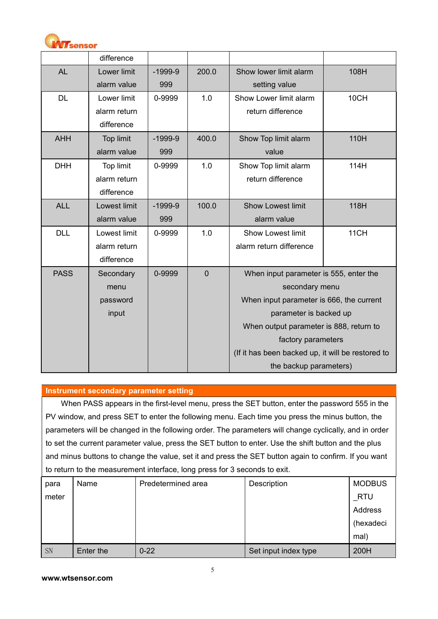

|             | difference   |           |                  |                                                   |      |
|-------------|--------------|-----------|------------------|---------------------------------------------------|------|
| <b>AL</b>   | Lower limit  | $-1999-9$ | 200.0            | Show lower limit alarm                            | 108H |
|             | alarm value  | 999       |                  | setting value                                     |      |
| <b>DL</b>   | Lower limit  | 0-9999    | 1.0              | Show Lower limit alarm<br>10CH                    |      |
|             | alarm return |           |                  | return difference                                 |      |
|             | difference   |           |                  |                                                   |      |
| <b>AHH</b>  | Top limit    | $-1999-9$ | 400.0            | Show Top limit alarm                              | 110H |
|             | alarm value  | 999       |                  | value                                             |      |
| <b>DHH</b>  | Top limit    | 0-9999    | 1.0              | Show Top limit alarm                              | 114H |
|             | alarm return |           |                  | return difference                                 |      |
|             | difference   |           |                  |                                                   |      |
| <b>ALL</b>  | Lowest limit | $-1999-9$ | 100.0            | <b>Show Lowest limit</b>                          | 118H |
|             | alarm value  | 999       |                  | alarm value                                       |      |
| <b>DLL</b>  | Lowest limit | 0-9999    | 1.0              | <b>Show Lowest limit</b>                          | 11CH |
|             | alarm return |           |                  | alarm return difference                           |      |
|             | difference   |           |                  |                                                   |      |
| <b>PASS</b> | Secondary    | 0-9999    | $\boldsymbol{0}$ | When input parameter is 555, enter the            |      |
|             | menu         |           |                  | secondary menu                                    |      |
|             | password     |           |                  | When input parameter is 666, the current          |      |
|             | input        |           |                  | parameter is backed up                            |      |
|             |              |           |                  | When output parameter is 888, return to           |      |
|             |              |           |                  | factory parameters                                |      |
|             |              |           |                  | (If it has been backed up, it will be restored to |      |
|             |              |           |                  | the backup parameters)                            |      |

#### **Instrument secondary parameter setting**

When PASS appears in the first-level menu, press the SET button, enter the password 555 in the PV window, and press SET to enter the following menu. Each time you press the minus button, the parameters will be changed in the following order. The parameters will change cyclically, and in order to set the current parameter value, press the SET button to enter. Use the shift button and the plus and minus buttons to change the value, set it and press the SET button again to confirm. If you want to return to the measurement interface, long press for 3 seconds to exit.

| para  | Name      | Predetermined area | Description          | <b>MODBUS</b> |  |
|-------|-----------|--------------------|----------------------|---------------|--|
| meter |           |                    |                      | $\_$ RTU      |  |
|       |           |                    |                      | Address       |  |
|       |           |                    |                      | (hexadeci     |  |
|       |           |                    |                      | mal)          |  |
| SN    | Enter the | $0 - 22$           | Set input index type | 200H          |  |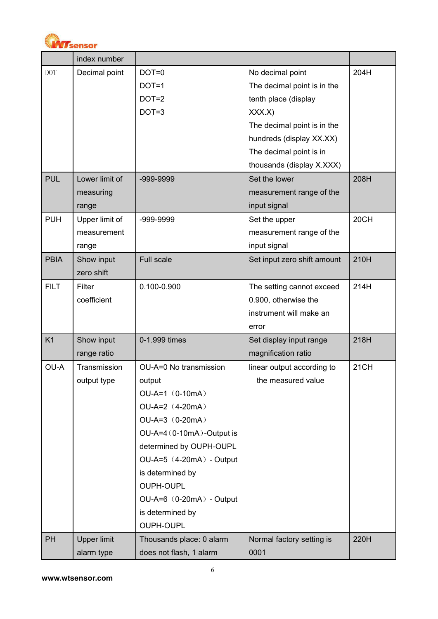

|                | index number       |                              |                             |      |
|----------------|--------------------|------------------------------|-----------------------------|------|
| <b>DOT</b>     | Decimal point      | $DOT=0$                      | No decimal point            | 204H |
|                |                    | $DOT=1$                      | The decimal point is in the |      |
|                |                    | $DOT=2$                      | tenth place (display        |      |
|                |                    | $DOT=3$                      | XXX.X)                      |      |
|                |                    |                              | The decimal point is in the |      |
|                |                    |                              | hundreds (display XX.XX)    |      |
|                |                    |                              | The decimal point is in     |      |
|                |                    |                              | thousands (display X.XXX)   |      |
| <b>PUL</b>     | Lower limit of     | -999-9999                    | Set the lower               | 208H |
|                | measuring          |                              | measurement range of the    |      |
|                | range              |                              | input signal                |      |
| <b>PUH</b>     | Upper limit of     | -999-9999                    | Set the upper               | 20CH |
|                | measurement        |                              | measurement range of the    |      |
|                | range              |                              | input signal                |      |
| <b>PBIA</b>    | Show input         | Full scale                   | Set input zero shift amount | 210H |
|                | zero shift         |                              |                             |      |
| <b>FILT</b>    | Filter             | 0.100-0.900                  | The setting cannot exceed   | 214H |
|                | coefficient        |                              | 0.900, otherwise the        |      |
|                |                    |                              | instrument will make an     |      |
|                |                    |                              | error                       |      |
| K <sub>1</sub> | Show input         | 0-1.999 times                | Set display input range     | 218H |
|                | range ratio        |                              | magnification ratio         |      |
| OU-A           | Transmission       | OU-A=0 No transmission       | linear output according to  | 21CH |
|                | output type        | output                       | the measured value          |      |
|                |                    | $OU-A=1$ (0-10mA)            |                             |      |
|                |                    | $OU-A=2$ (4-20mA)            |                             |      |
|                |                    | $OU-A=3$ (0-20mA)            |                             |      |
|                |                    | OU-A=4 (0-10mA)-Output is    |                             |      |
|                |                    | determined by OUPH-OUPL      |                             |      |
|                |                    | $OU-A=5$ $(4-20mA)$ - Output |                             |      |
|                |                    | is determined by             |                             |      |
|                |                    | <b>OUPH-OUPL</b>             |                             |      |
|                |                    | OU-A=6 (0-20mA) - Output     |                             |      |
|                |                    | is determined by             |                             |      |
|                |                    | <b>OUPH-OUPL</b>             |                             |      |
| PH             | <b>Upper limit</b> | Thousands place: 0 alarm     | Normal factory setting is   | 220H |
|                | alarm type         | does not flash, 1 alarm      | 0001                        |      |
|                |                    |                              |                             |      |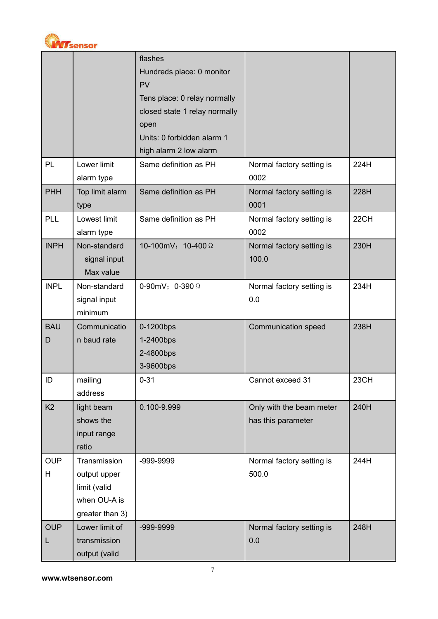

|                |                 | flashes                       |                            |      |
|----------------|-----------------|-------------------------------|----------------------------|------|
|                |                 | Hundreds place: 0 monitor     |                            |      |
|                |                 | PV                            |                            |      |
|                |                 | Tens place: 0 relay normally  |                            |      |
|                |                 | closed state 1 relay normally |                            |      |
|                |                 | open                          |                            |      |
|                |                 | Units: 0 forbidden alarm 1    |                            |      |
|                |                 | high alarm 2 low alarm        |                            |      |
| PL             | Lower limit     | Same definition as PH         | Normal factory setting is  | 224H |
|                | alarm type      |                               | 0002                       |      |
| PHH            | Top limit alarm | Same definition as PH         | Normal factory setting is  | 228H |
|                | type            |                               | 0001                       |      |
| PLL            | Lowest limit    | Same definition as PH         | Normal factory setting is  | 22CH |
|                | alarm type      |                               | 0002                       |      |
| <b>INPH</b>    | Non-standard    | 10-100mV; 10-400 Ω            | Normal factory setting is  | 230H |
|                | signal input    |                               | 100.0                      |      |
|                | Max value       |                               |                            |      |
| <b>INPL</b>    | Non-standard    | 0-90mV; 0-390 $\Omega$        | Normal factory setting is  | 234H |
|                | signal input    |                               | 0.0                        |      |
|                | minimum         |                               |                            |      |
| <b>BAU</b>     | Communicatio    | 0-1200bps                     | <b>Communication speed</b> | 238H |
| D              | n baud rate     | 1-2400bps                     |                            |      |
|                |                 | 2-4800bps                     |                            |      |
|                |                 | 3-9600bps                     |                            |      |
| ID             | mailing         | $0 - 31$                      | Cannot exceed 31           | 23CH |
|                | address         |                               |                            |      |
| K <sub>2</sub> | light beam      | 0.100-9.999                   | Only with the beam meter   | 240H |
|                | shows the       |                               | has this parameter         |      |
|                | input range     |                               |                            |      |
|                | ratio           |                               |                            |      |
| <b>OUP</b>     | Transmission    | -999-9999                     | Normal factory setting is  | 244H |
| H              | output upper    |                               | 500.0                      |      |
|                | limit (valid    |                               |                            |      |
|                | when OU-A is    |                               |                            |      |
|                | greater than 3) |                               |                            |      |
| <b>OUP</b>     | Lower limit of  | -999-9999                     | Normal factory setting is  | 248H |
| L              | transmission    |                               | 0.0                        |      |
|                | output (valid   |                               |                            |      |
|                |                 |                               |                            |      |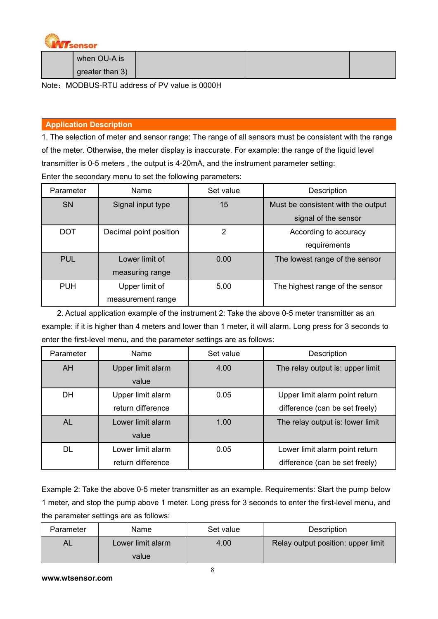

| when OU-A is               |  |  |
|----------------------------|--|--|
| $\sqrt{9}$ greater than 3) |  |  |

Note: MODBUS-RTU address of PV value is 0000H

### **Application Description**

1. The selection of meter and sensor range: The range of all sensors must be consistent with the range of the meter. Otherwise, the meter display is inaccurate. For example: the range of the liquid level transmitter is 0-5 meters , the output is 4-20mA, and the instrument parameter setting: Enter the secondary menu to set the following parameters:

| Parameter  | Name                   | Set value | Description                        |
|------------|------------------------|-----------|------------------------------------|
| SN         | Signal input type      | 15        | Must be consistent with the output |
|            |                        |           | signal of the sensor               |
| <b>DOT</b> | Decimal point position | 2         | According to accuracy              |
|            |                        |           | requirements                       |
| <b>PUL</b> | Lower limit of         | 0.00      | The lowest range of the sensor     |
|            | measuring range        |           |                                    |
| <b>PUH</b> | Upper limit of         | 5.00      | The highest range of the sensor    |
|            | measurement range      |           |                                    |

2. Actual application example of the instrument 2: Take the above 0-5 meter transmitter as an example: if it is higher than 4 meters and lower than 1 meter, it will alarm. Long press for 3 seconds to enter the first-level menu, and the parameter settings are as follows:

| Parameter | Name              | Set value | Description                      |
|-----------|-------------------|-----------|----------------------------------|
| <b>AH</b> | Upper limit alarm | 4.00      | The relay output is: upper limit |
|           | value             |           |                                  |
| DH        | Upper limit alarm | 0.05      | Upper limit alarm point return   |
|           | return difference |           | difference (can be set freely)   |
| <b>AL</b> | Lower limit alarm | 1.00      | The relay output is: lower limit |
|           | value             |           |                                  |
| <b>DL</b> | Lower limit alarm | 0.05      | Lower limit alarm point return   |
|           | return difference |           | difference (can be set freely)   |

Example 2: Take the above 0-5 meter transmitter as an example. Requirements: Start the pump below 1 meter, and stop the pump above 1 meter. Long press for 3 seconds to enter the first-level menu, and the parameter settings are as follows:

| Parameter | Name              | Set value | Description                        |
|-----------|-------------------|-----------|------------------------------------|
| AL        | Lower limit alarm | 4.00      | Relay output position: upper limit |
|           | value             |           |                                    |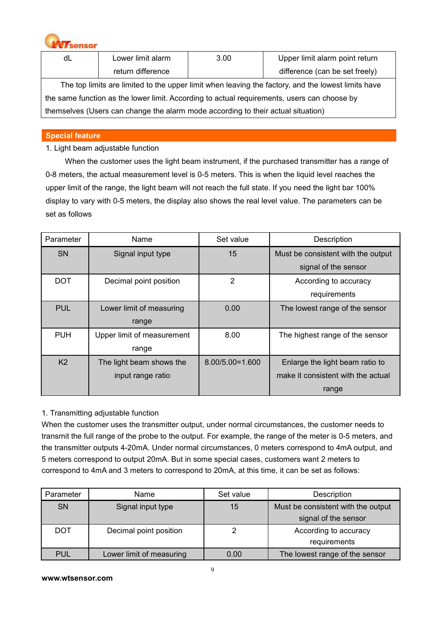

| dL                                                                                                 | Lower limit alarm | 3.00 | Upper limit alarm point return |  |  |  |  |  |
|----------------------------------------------------------------------------------------------------|-------------------|------|--------------------------------|--|--|--|--|--|
|                                                                                                    | return difference |      | difference (can be set freely) |  |  |  |  |  |
| The top limits are limited to the upper limit when leaving the factory, and the lowest limits have |                   |      |                                |  |  |  |  |  |
| the same function as the lower limit. According to actual requirements, users can choose by        |                   |      |                                |  |  |  |  |  |

themselves (Users can change the alarm mode according to their actual situation)

### **Special feature**

### 1. Light beam adjustable function

When the customer uses the light beam instrument, if the purchased transmitter has a range of 0-8 meters, the actual measurement level is 0-5 meters. This is when the liquid level reaches the upper limit of the range, the light beam will not reach the full state. If you need the light bar 100% display to vary with 0-5 meters, the display also shows the real level value. The parameters can be set as follows

| Parameter      | Name                       | Set value       | Description                        |
|----------------|----------------------------|-----------------|------------------------------------|
| <b>SN</b>      | Signal input type          | 15              | Must be consistent with the output |
|                |                            |                 | signal of the sensor               |
| <b>DOT</b>     | Decimal point position     | 2               | According to accuracy              |
|                |                            |                 | requirements                       |
| <b>PUL</b>     | Lower limit of measuring   | 0.00            | The lowest range of the sensor     |
|                | range                      |                 |                                    |
| <b>PUH</b>     | Upper limit of measurement | 8.00            | The highest range of the sensor    |
|                | range                      |                 |                                    |
| K <sub>2</sub> | The light beam shows the   | 8.00/5.00=1.600 | Enlarge the light beam ratio to    |
|                | input range ratio          |                 | make it consistent with the actual |
|                |                            |                 | range                              |

### 1. Transmitting adjustable function

When the customer uses the transmitter output, under normal circumstances, the customer needs to transmit the full range of the probe to the output. For example, the range of the meter is 0-5 meters, and the transmitter outputs 4-20mA. Under normal circumstances, 0 meters correspond to 4mA output, and 5 meters correspond to output 20mA. But in some special cases, customers want 2 meters to correspond to 4mA and 3 meters to correspond to 20mA, at this time, it can be set as follows:

| Parameter  | Name                     | Set value | Description                        |
|------------|--------------------------|-----------|------------------------------------|
| <b>SN</b>  | Signal input type        | 15        | Must be consistent with the output |
|            |                          |           | signal of the sensor               |
| <b>DOT</b> | Decimal point position   |           | According to accuracy              |
|            |                          |           | requirements                       |
| <b>PUL</b> | Lower limit of measuring | 0.00      | The lowest range of the sensor     |